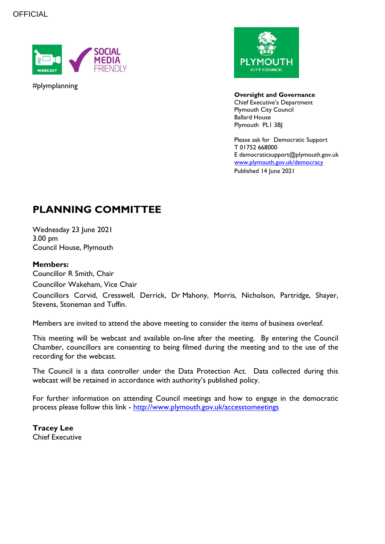

#plymplanning



**Oversight and Governance** Chief Executive's Department Plymouth City Council Ballard House Plymouth PL1 3BJ

Please ask for Democratic Support T 01752 668000 E democraticsupport@plymouth.gov.uk [www.plymouth.gov.uk/](http://www.plymouth.gov.uk/)democracy Published 14 June 2021

# **PLANNING COMMITTEE**

Wednesday 23 June 2021 3.00 pm Council House, Plymouth

#### **Members:**

Councillor R Smith, Chair Councillor Wakeham, Vice Chair

Councillors Corvid, Cresswell, Derrick, Dr Mahony, Morris, Nicholson, Partridge, Shayer, Stevens, Stoneman and Tuffin.

Members are invited to attend the above meeting to consider the items of business overleaf.

This meeting will be webcast and available on-line after the meeting. By entering the Council Chamber, councillors are consenting to being filmed during the meeting and to the use of the recording for the webcast.

The Council is a data controller under the Data Protection Act. Data collected during this webcast will be retained in accordance with authority's published policy.

For further information on attending Council meetings and how to engage in the democratic process please follow this link - <http://www.plymouth.gov.uk/accesstomeetings>

**Tracey Lee** Chief Executive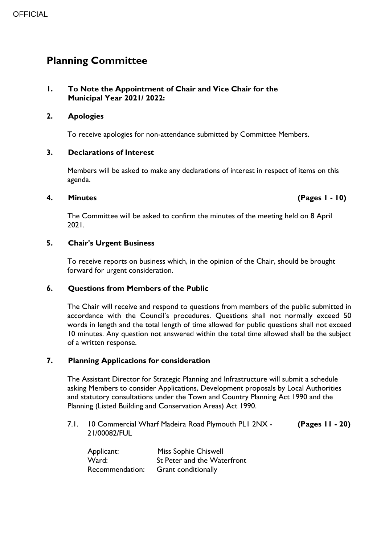## **Planning Committee**

#### **1. To Note the Appointment of Chair and Vice Chair for the Municipal Year 2021/ 2022:**

#### **2. Apologies**

To receive apologies for non-attendance submitted by Committee Members.

#### **3. Declarations of Interest**

Members will be asked to make any declarations of interest in respect of items on this agenda.

#### **4. Minutes (Pages 1 - 10)**

The Committee will be asked to confirm the minutes of the meeting held on 8 April 2021.

#### **5. Chair's Urgent Business**

To receive reports on business which, in the opinion of the Chair, should be brought forward for urgent consideration.

#### **6. Questions from Members of the Public**

The Chair will receive and respond to questions from members of the public submitted in accordance with the Council's procedures. Questions shall not normally exceed 50 words in length and the total length of time allowed for public questions shall not exceed 10 minutes. Any question not answered within the total time allowed shall be the subject of a written response.

#### **7. Planning Applications for consideration**

The Assistant Director for Strategic Planning and Infrastructure will submit a schedule asking Members to consider Applications, Development proposals by Local Authorities and statutory consultations under the Town and Country Planning Act 1990 and the Planning (Listed Building and Conservation Areas) Act 1990.

7.1. 10 Commercial Wharf Madeira Road Plymouth PL1 2NX - 21/00082/FUL **(Pages 11 - 20)**

| Applicant:      | <b>Miss Sophie Chiswell</b> |
|-----------------|-----------------------------|
| Ward:           | St Peter and the Waterfront |
| Recommendation: | <b>Grant conditionally</b>  |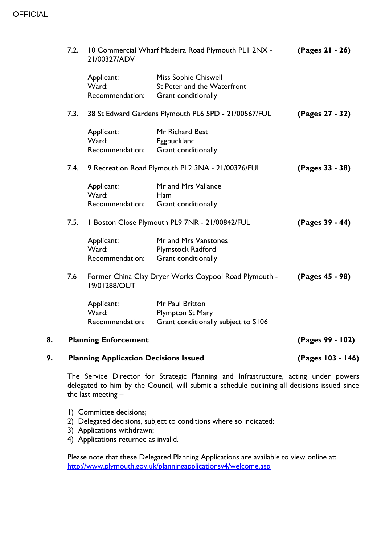| 9.   | <b>Planning Application Decisions Issued</b> |                                                                       |                                                                            | (Pages 103 - 146) |  |
|------|----------------------------------------------|-----------------------------------------------------------------------|----------------------------------------------------------------------------|-------------------|--|
| 8.   |                                              | <b>Planning Enforcement</b>                                           |                                                                            | (Pages 99 - 102)  |  |
|      |                                              | Applicant:<br>Ward:<br>Recommendation:                                | Mr Paul Britton<br>Plympton St Mary<br>Grant conditionally subject to S106 |                   |  |
|      | 7.6                                          | Former China Clay Dryer Works Coypool Road Plymouth -<br>19/01288/OUT |                                                                            | (Pages 45 - 98)   |  |
|      |                                              | Applicant:<br>Ward:<br>Recommendation:                                | Mr and Mrs Vanstones<br>Plymstock Radford<br>Grant conditionally           |                   |  |
|      | 7.5.                                         | I Boston Close Plymouth PL9 7NR - 21/00842/FUL                        |                                                                            | (Pages 39 - 44)   |  |
|      |                                              | Applicant:<br>Ward:<br>Recommendation:                                | Mr and Mrs Vallance<br>Ham<br>Grant conditionally                          |                   |  |
| 7.4. |                                              | 9 Recreation Road Plymouth PL2 3NA - 21/00376/FUL                     |                                                                            | (Pages 33 - 38)   |  |
|      |                                              | Applicant:<br>Ward:<br>Recommendation:                                | Mr Richard Best<br>Eggbuckland<br>Grant conditionally                      |                   |  |
|      | 7.3.                                         | 38 St Edward Gardens Plymouth PL6 5PD - 21/00567/FUL                  |                                                                            | (Pages 27 - 32)   |  |
|      |                                              | Applicant:<br>Ward:<br>Recommendation:                                | Miss Sophie Chiswell<br>St Peter and the Waterfront<br>Grant conditionally |                   |  |
|      | 7.2.                                         | 10 Commercial Wharf Madeira Road Plymouth PLI 2NX -<br>21/00327/ADV   | (Pages 21 - 26)                                                            |                   |  |

The Service Director for Strategic Planning and Infrastructure, acting under powers delegated to him by the Council, will submit a schedule outlining all decisions issued since the last meeting  $-$ 

- 1) Committee decisions;
- 2) Delegated decisions, subject to conditions where so indicated;
- 3) Applications withdrawn;
- 4) Applications returned as invalid.

Please note that these Delegated Planning Applications are available to view online at: <http://www.plymouth.gov.uk/planningapplicationsv4/welcome.asp>